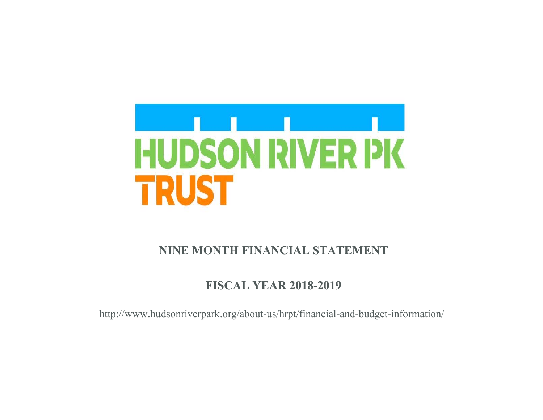

# **NINE MONTH FINANCIAL STATEMENT**

## **FISCAL YEAR 2018-2019**

http://www.hudsonriverpark.org/about-us/hrpt/financial-and-budget-information/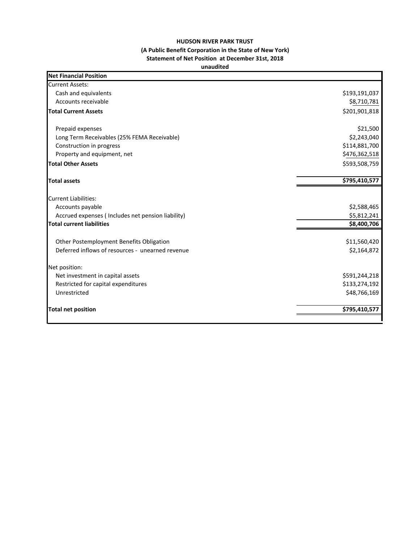### **HUDSON RIVER PARK TRUST (A Public Benefit Corporation in the State of New York) Statement of Net Position at December 31st, 2018**

### **unaudited**

| <b>Net Financial Position</b>                     |               |
|---------------------------------------------------|---------------|
| <b>Current Assets:</b>                            |               |
| Cash and equivalents                              | \$193,191,037 |
| Accounts receivable                               | \$8,710,781   |
| <b>Total Current Assets</b>                       | \$201,901,818 |
| Prepaid expenses                                  | \$21,500      |
| Long Term Receivables (25% FEMA Receivable)       | \$2,243,040   |
| Construction in progress                          | \$114,881,700 |
| Property and equipment, net                       | \$476,362,518 |
| <b>Total Other Assets</b>                         | \$593,508,759 |
| <b>Total assets</b>                               | \$795,410,577 |
| <b>Current Liabilities:</b>                       |               |
| Accounts payable                                  | \$2,588,465   |
| Accrued expenses (Includes net pension liability) | \$5,812,241   |
| <b>Total current liabilities</b>                  | \$8,400,706   |
| Other Postemployment Benefits Obligation          | \$11,560,420  |
| Deferred inflows of resources - unearned revenue  | \$2,164,872   |
| Net position:                                     |               |
| Net investment in capital assets                  | \$591,244,218 |
| Restricted for capital expenditures               | \$133,274,192 |
| Unrestricted                                      | \$48,766,169  |
| <b>Total net position</b>                         | \$795,410,577 |